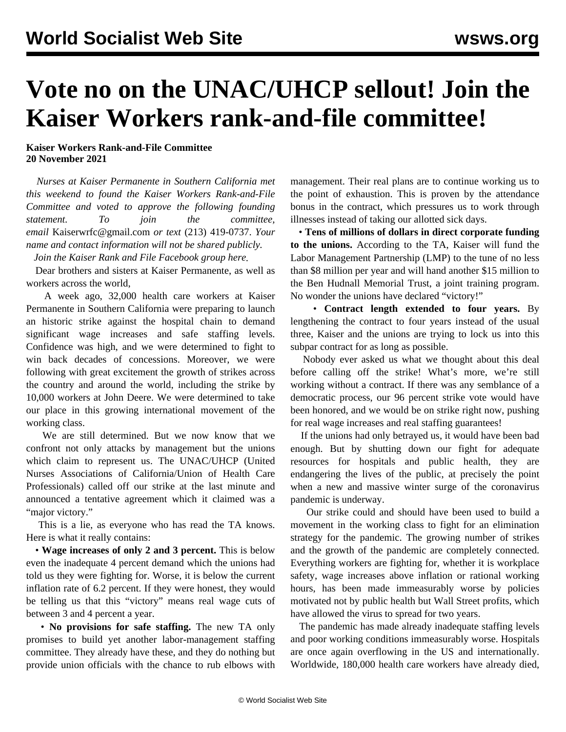## **Vote no on the UNAC/UHCP sellout! Join the Kaiser Workers rank-and-file committee!**

**Kaiser Workers Rank-and-File Committee 20 November 2021**

 *Nurses at Kaiser Permanente in Southern California met this weekend to found the Kaiser Workers Rank-and-File Committee and voted to approve the following founding statement. To join the committee, email* [Kaiserwrfc@gmail.com](mailto:Kaiserwrfc@gmail.com) *or text* (213) 419-0737. *Your name and contact information will not be shared publicly.*

*Join the Kaiser Rank and File Facebook group [here](https://www.facebook.com/groups/kwrfc).*

 Dear brothers and sisters at Kaiser Permanente, as well as workers across the world,

 A week ago, 32,000 health care workers at Kaiser Permanente in Southern California were preparing to launch an historic strike against the hospital chain to demand significant wage increases and safe staffing levels. Confidence was high, and we were determined to fight to win back decades of concessions. Moreover, we were following with great excitement the growth of strikes across the country and around the world, including the strike by 10,000 workers at John Deere. We were determined to take our place in this growing international movement of the working class.

 We are still determined. But we now know that we confront not only attacks by management but the unions which claim to represent us. The UNAC/UHCP (United Nurses Associations of California/Union of Health Care Professionals) called off our strike at the last minute and announced a tentative agreement which it claimed was a "major victory."

 This is a lie, as everyone who has read the TA knows. Here is what it really contains:

 • **Wage increases of only 2 and 3 percent.** This is below even the inadequate 4 percent demand which the unions had told us they were fighting for. Worse, it is below the current inflation rate of 6.2 percent. If they were honest, they would be telling us that this "victory" means real wage cuts of between 3 and 4 percent a year.

 • **No provisions for safe staffing.** The new TA only promises to build yet another labor-management staffing committee. They already have these, and they do nothing but provide union officials with the chance to rub elbows with management. Their real plans are to continue working us to the point of exhaustion. This is proven by the attendance bonus in the contract, which pressures us to work through illnesses instead of taking our allotted sick days.

 • **Tens of millions of dollars in direct corporate funding to the unions.** According to the TA, Kaiser will fund the Labor Management Partnership (LMP) to the tune of no less than \$8 million per year and will hand another \$15 million to the Ben Hudnall Memorial Trust, a joint training program. No wonder the unions have declared "victory!"

 • **Contract length extended to four years.** By lengthening the contract to four years instead of the usual three, Kaiser and the unions are trying to lock us into this subpar contract for as long as possible.

 Nobody ever asked us what we thought about this deal before calling off the strike! What's more, we're still working without a contract. If there was any semblance of a democratic process, our 96 percent strike vote would have been honored, and we would be on strike right now, pushing for real wage increases and real staffing guarantees!

 If the unions had only betrayed us, it would have been bad enough. But by shutting down our fight for adequate resources for hospitals and public health, they are endangering the lives of the public, at precisely the point when a new and massive winter surge of the coronavirus pandemic is underway.

 Our strike could and should have been used to build a movement in the working class to fight for an elimination strategy for the pandemic. The growing number of strikes and the growth of the pandemic are completely connected. Everything workers are fighting for, whether it is workplace safety, wage increases above inflation or rational working hours, has been made immeasurably worse by policies motivated not by public health but Wall Street profits, which have allowed the virus to spread for two years.

 The pandemic has made already inadequate staffing levels and poor working conditions immeasurably worse. Hospitals are once again overflowing in the US and internationally. Worldwide, 180,000 health care workers have already died,